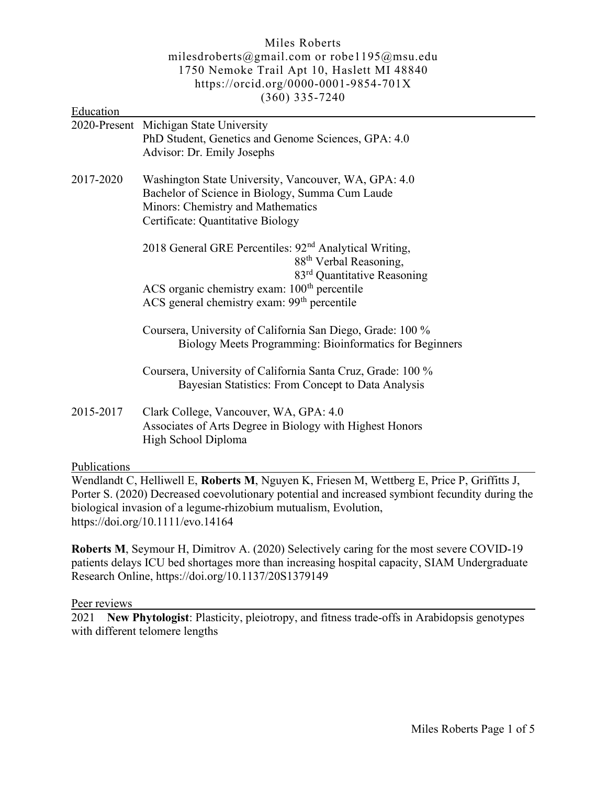# Miles Roberts milesdroberts@gmail.com or robe1195@msu.edu 1750 Nemoke Trail Apt 10, Haslett MI 48840 https://orcid.org/0000-0001-9854-701X (360) 335-7240

| Education    |                                                                                                                                                                                                                                                                            |
|--------------|----------------------------------------------------------------------------------------------------------------------------------------------------------------------------------------------------------------------------------------------------------------------------|
|              | 2020-Present Michigan State University<br>PhD Student, Genetics and Genome Sciences, GPA: 4.0<br>Advisor: Dr. Emily Josephs                                                                                                                                                |
| 2017-2020    | Washington State University, Vancouver, WA, GPA: 4.0<br>Bachelor of Science in Biology, Summa Cum Laude<br>Minors: Chemistry and Mathematics<br>Certificate: Quantitative Biology                                                                                          |
|              | 2018 General GRE Percentiles: 92 <sup>nd</sup> Analytical Writing,<br>88 <sup>th</sup> Verbal Reasoning,<br>83 <sup>rd</sup> Quantitative Reasoning<br>ACS organic chemistry exam: 100 <sup>th</sup> percentile<br>ACS general chemistry exam: 99 <sup>th</sup> percentile |
|              | Coursera, University of California San Diego, Grade: 100 %<br>Biology Meets Programming: Bioinformatics for Beginners                                                                                                                                                      |
|              | Coursera, University of California Santa Cruz, Grade: 100 %<br>Bayesian Statistics: From Concept to Data Analysis                                                                                                                                                          |
| 2015-2017    | Clark College, Vancouver, WA, GPA: 4.0<br>Associates of Arts Degree in Biology with Highest Honors<br>High School Diploma                                                                                                                                                  |
| Publications |                                                                                                                                                                                                                                                                            |
|              | Wendlandt C, Helliwell E, Roberts M, Nguyen K, Friesen M, Wettberg E, Price P,                                                                                                                                                                                             |

Wendlandt C, Helliwell E, Roberts M, Nguyen K, Friesen M, Wettberg E, Price P, Griffitts J, Porter S. (2020) Decreased coevolutionary potential and increased symbiont fecundity during the biological invasion of a legume‐rhizobium mutualism, Evolution, https://doi.org/10.1111/evo.14164

Roberts M, Seymour H, Dimitrov A. (2020) Selectively caring for the most severe COVID-19 patients delays ICU bed shortages more than increasing hospital capacity, SIAM Undergraduate Research Online, https://doi.org/10.1137/20S1379149

Peer reviews

2021 New Phytologist: Plasticity, pleiotropy, and fitness trade-offs in Arabidopsis genotypes with different telomere lengths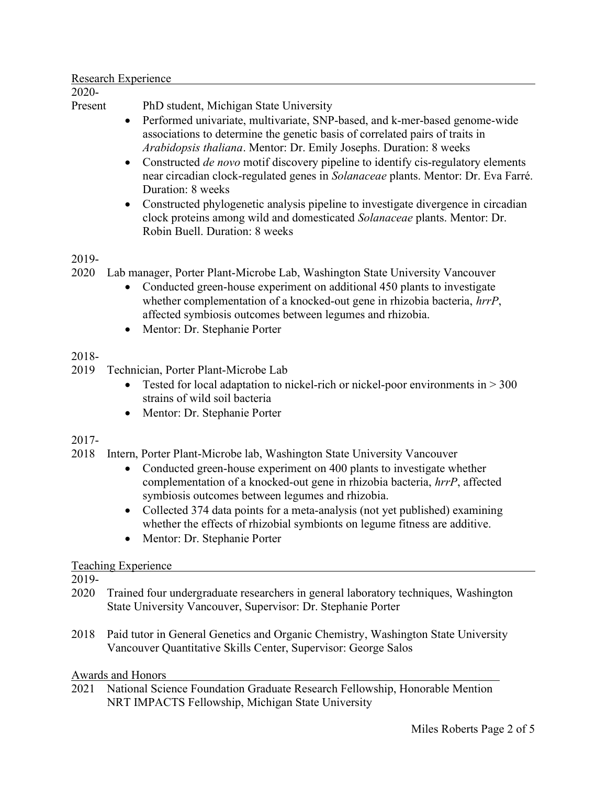#### Research Experience

2020-

Present PhD student, Michigan State University

- Performed univariate, multivariate, SNP-based, and k-mer-based genome-wide associations to determine the genetic basis of correlated pairs of traits in Arabidopsis thaliana. Mentor: Dr. Emily Josephs. Duration: 8 weeks
- Constructed *de novo* motif discovery pipeline to identify cis-regulatory elements near circadian clock-regulated genes in Solanaceae plants. Mentor: Dr. Eva Farré. Duration: 8 weeks
- Constructed phylogenetic analysis pipeline to investigate divergence in circadian clock proteins among wild and domesticated Solanaceae plants. Mentor: Dr. Robin Buell. Duration: 8 weeks

### 2019-

- 2020 Lab manager, Porter Plant-Microbe Lab, Washington State University Vancouver
	- Conducted green-house experiment on additional 450 plants to investigate whether complementation of a knocked-out gene in rhizobia bacteria, hrrP, affected symbiosis outcomes between legumes and rhizobia.
	- Mentor: Dr. Stephanie Porter

# 2018-

- 2019 Technician, Porter Plant-Microbe Lab
	- Tested for local adaptation to nickel-rich or nickel-poor environments in  $>$  300 strains of wild soil bacteria
	- Mentor: Dr. Stephanie Porter

### 2017-

- 2018 Intern, Porter Plant-Microbe lab, Washington State University Vancouver
	- Conducted green-house experiment on 400 plants to investigate whether complementation of a knocked-out gene in rhizobia bacteria, hrrP, affected symbiosis outcomes between legumes and rhizobia.
	- Collected 374 data points for a meta-analysis (not yet published) examining whether the effects of rhizobial symbionts on legume fitness are additive.
	- Mentor: Dr. Stephanie Porter

### Teaching Experience

2019-

- 2020 Trained four undergraduate researchers in general laboratory techniques, Washington State University Vancouver, Supervisor: Dr. Stephanie Porter
- 2018 Paid tutor in General Genetics and Organic Chemistry, Washington State University Vancouver Quantitative Skills Center, Supervisor: George Salos

### Awards and Honors

2021 National Science Foundation Graduate Research Fellowship, Honorable Mention NRT IMPACTS Fellowship, Michigan State University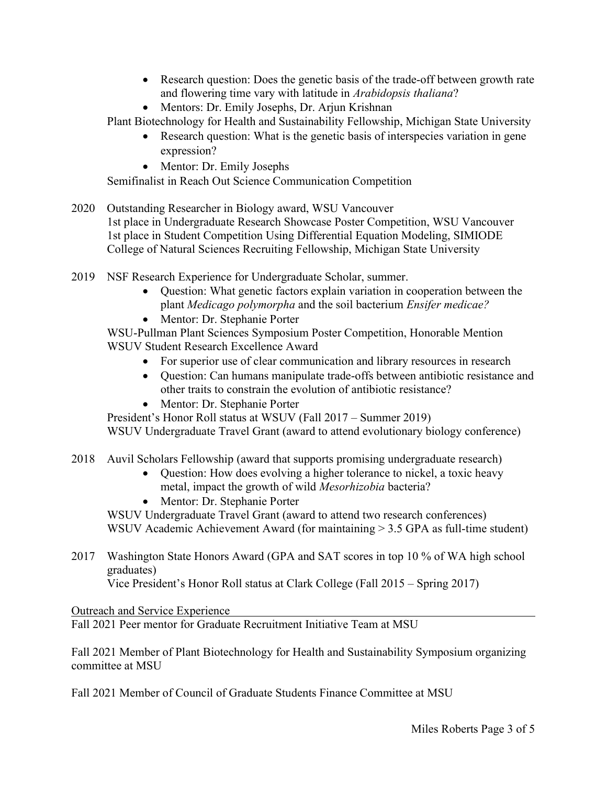- Research question: Does the genetic basis of the trade-off between growth rate and flowering time vary with latitude in Arabidopsis thaliana?
- Mentors: Dr. Emily Josephs, Dr. Arjun Krishnan

Plant Biotechnology for Health and Sustainability Fellowship, Michigan State University

- Research question: What is the genetic basis of interspecies variation in gene expression?
- Mentor: Dr. Emily Josephs

Semifinalist in Reach Out Science Communication Competition

- 2020 Outstanding Researcher in Biology award, WSU Vancouver 1st place in Undergraduate Research Showcase Poster Competition, WSU Vancouver 1st place in Student Competition Using Differential Equation Modeling, SIMIODE College of Natural Sciences Recruiting Fellowship, Michigan State University
- 2019 NSF Research Experience for Undergraduate Scholar, summer.
	- Question: What genetic factors explain variation in cooperation between the plant Medicago polymorpha and the soil bacterium Ensifer medicae?
	- Mentor: Dr. Stephanie Porter

WSU-Pullman Plant Sciences Symposium Poster Competition, Honorable Mention WSUV Student Research Excellence Award

- For superior use of clear communication and library resources in research
- Question: Can humans manipulate trade-offs between antibiotic resistance and other traits to constrain the evolution of antibiotic resistance?
- Mentor: Dr. Stephanie Porter

President's Honor Roll status at WSUV (Fall 2017 – Summer 2019) WSUV Undergraduate Travel Grant (award to attend evolutionary biology conference)

# 2018 Auvil Scholars Fellowship (award that supports promising undergraduate research)

- Question: How does evolving a higher tolerance to nickel, a toxic heavy metal, impact the growth of wild Mesorhizobia bacteria?
- Mentor: Dr. Stephanie Porter

 WSUV Undergraduate Travel Grant (award to attend two research conferences) WSUV Academic Achievement Award (for maintaining > 3.5 GPA as full-time student)

2017 Washington State Honors Award (GPA and SAT scores in top 10 % of WA high school graduates)

Vice President's Honor Roll status at Clark College (Fall 2015 – Spring 2017)

Outreach and Service Experience

Fall 2021 Peer mentor for Graduate Recruitment Initiative Team at MSU

Fall 2021 Member of Plant Biotechnology for Health and Sustainability Symposium organizing committee at MSU

Fall 2021 Member of Council of Graduate Students Finance Committee at MSU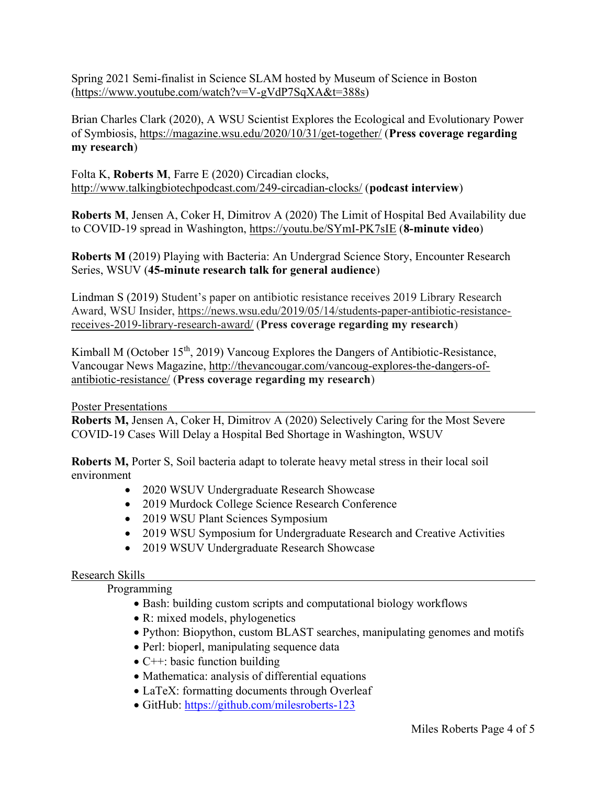Spring 2021 Semi-finalist in Science SLAM hosted by Museum of Science in Boston (https://www.youtube.com/watch?v=V-gVdP7SqXA&t=388s)

Brian Charles Clark (2020), A WSU Scientist Explores the Ecological and Evolutionary Power of Symbiosis, https://magazine.wsu.edu/2020/10/31/get-together/ (Press coverage regarding my research)

Folta K, Roberts M, Farre E (2020) Circadian clocks, http://www.talkingbiotechpodcast.com/249-circadian-clocks/ (podcast interview)

Roberts M, Jensen A, Coker H, Dimitrov A (2020) The Limit of Hospital Bed Availability due to COVID-19 spread in Washington, https://youtu.be/SYmI-PK7sIE (8-minute video)

Roberts M (2019) Playing with Bacteria: An Undergrad Science Story, Encounter Research Series, WSUV (45-minute research talk for general audience)

Lindman S (2019) Student's paper on antibiotic resistance receives 2019 Library Research Award, WSU Insider, https://news.wsu.edu/2019/05/14/students-paper-antibiotic-resistancereceives-2019-library-research-award/ (Press coverage regarding my research)

Kimball M (October  $15<sup>th</sup>$ , 2019) Vancoug Explores the Dangers of Antibiotic-Resistance, Vancougar News Magazine, http://thevancougar.com/vancoug-explores-the-dangers-ofantibiotic-resistance/ (Press coverage regarding my research)

Poster Presentations

Roberts M, Jensen A, Coker H, Dimitrov A (2020) Selectively Caring for the Most Severe COVID-19 Cases Will Delay a Hospital Bed Shortage in Washington, WSUV

Roberts M, Porter S, Soil bacteria adapt to tolerate heavy metal stress in their local soil environment

- 2020 WSUV Undergraduate Research Showcase
- 2019 Murdock College Science Research Conference
- 2019 WSU Plant Sciences Symposium
- 2019 WSU Symposium for Undergraduate Research and Creative Activities
- 2019 WSUV Undergraduate Research Showcase

# Research Skills

Programming

- Bash: building custom scripts and computational biology workflows
- R: mixed models, phylogenetics
- Python: Biopython, custom BLAST searches, manipulating genomes and motifs
- Perl: bioperl, manipulating sequence data
- $\bullet$  C++: basic function building
- Mathematica: analysis of differential equations
- LaTeX: formatting documents through Overleaf
- GitHub: https://github.com/milesroberts-123